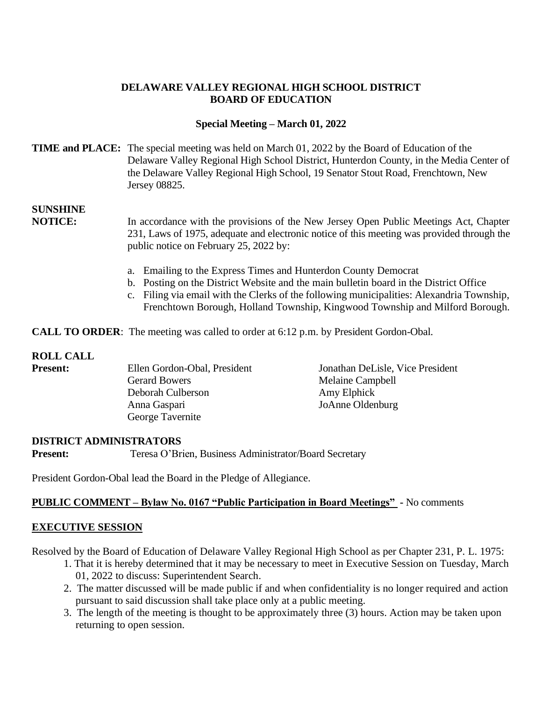# **DELAWARE VALLEY REGIONAL HIGH SCHOOL DISTRICT BOARD OF EDUCATION**

## **Special Meeting – March 01, 2022**

## **TIME and PLACE:** The special meeting was held on March 01, 2022 by the Board of Education of the Delaware Valley Regional High School District, Hunterdon County, in the Media Center of the Delaware Valley Regional High School, 19 Senator Stout Road, Frenchtown, New Jersey 08825.

# **SUNSHINE**

**NOTICE:** In accordance with the provisions of the New Jersey Open Public Meetings Act, Chapter 231, Laws of 1975, adequate and electronic notice of this meeting was provided through the public notice on February 25, 2022 by:

- a. Emailing to the Express Times and Hunterdon County Democrat
- b. Posting on the District Website and the main bulletin board in the District Office
- c. Filing via email with the Clerks of the following municipalities: Alexandria Township, Frenchtown Borough, Holland Township, Kingwood Township and Milford Borough.

**CALL TO ORDER**: The meeting was called to order at 6:12 p.m. by President Gordon-Obal.

#### **ROLL CALL**

| <b>Present:</b> | Ellen Gordon-Obal, President | Jonathan DeLisle, Vice President |
|-----------------|------------------------------|----------------------------------|
|                 | <b>Gerard Bowers</b>         | Melaine Campbell                 |
|                 | Deborah Culberson            | Amy Elphick                      |
|                 | Anna Gaspari                 | JoAnne Oldenburg                 |
|                 | George Tavernite             |                                  |

#### **DISTRICT ADMINISTRATORS**

**Present:** Teresa O'Brien, Business Administrator/Board Secretary

President Gordon-Obal lead the Board in the Pledge of Allegiance.

#### **PUBLIC COMMENT – Bylaw No. 0167 "Public Participation in Board Meetings" -** No comments

#### **EXECUTIVE SESSION**

Resolved by the Board of Education of Delaware Valley Regional High School as per Chapter 231, P. L. 1975:

- 1. That it is hereby determined that it may be necessary to meet in Executive Session on Tuesday, March 01, 2022 to discuss: Superintendent Search.
- 2. The matter discussed will be made public if and when confidentiality is no longer required and action pursuant to said discussion shall take place only at a public meeting.
- 3. The length of the meeting is thought to be approximately three (3) hours. Action may be taken upon returning to open session.